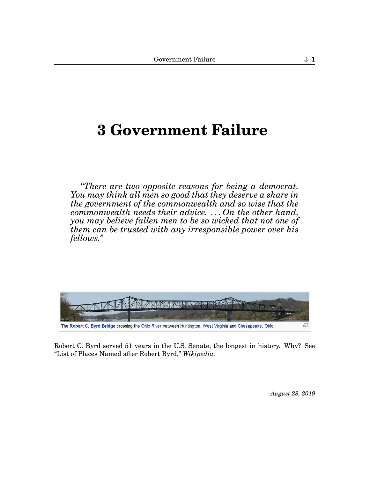# <span id="page-0-1"></span><span id="page-0-0"></span>**[3](#page-0-0) Government Failure**

*"There are two opposite reasons for being a democrat. You may think all men so good that they deserve a share in the government of the commonwealth and so wise that the commonwealth needs their advice. . . . On the other hand, you may believe fallen men to be so wicked that not one of them can be trusted with any irresponsible power over his fellows."*



Robert C. Byrd served 51 years in the U.S. Senate, the longest in history. Why? See "List of Places Named after Robert Byrd," *Wikipedia.*

*August 28, 2019*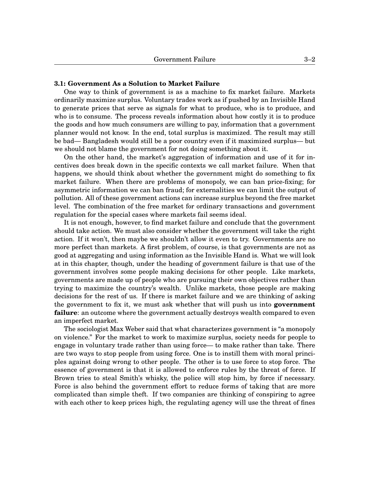# **3.1: Government As a Solution to Market Failure**

One way to think of government is as a machine to fix market failure. Markets ordinarily maximize surplus. Voluntary trades work as if pushed by an Invisible Hand to generate prices that serve as signals for what to produce, who is to produce, and who is to consume. The process reveals information about how costly it is to produce the goods and how much consumers are willing to pay, information that a government planner would not know. In the end, total surplus is maximized. The result may still be bad— Bangladesh would still be a poor country even if it maximized surplus— but we should not blame the government for not doing something about it.

On the other hand, the market's aggregation of information and use of it for incentives does break down in the specific contexts we call market failure. When that happens, we should think about whether the government might do something to fix market failure. When there are problems of monopoly, we can ban price-fixing; for asymmetric information we can ban fraud; for externalities we can limit the output of pollution. All of these government actions can increase surplus beyond the free market level. The combination of the free market for ordinary transactions and government regulation for the special cases where markets fail seems ideal.

It is not enough, however, to find market failure and conclude that the government should take action. We must also consider whether the government will take the right action. If it won't, then maybe we shouldn't allow it even to try. Governments are no more perfect than markets. A first problem, of course, is that governments are not as good at aggregating and using information as the Invisible Hand is. What we will look at in this chapter, though, under the heading of government failure is that use of the government involves some people making decisions for other people. Like markets, governments are made up of people who are pursuing their own objectives rather than trying to maximize the country's wealth. Unlike markets, those people are making decisions for the rest of us. If there is market failure and we are thinking of asking the government to fix it, we must ask whether that will push us into **government failure**: an outcome where the government actually destroys wealth compared to even an imperfect market.

The sociologist Max Weber said that what characterizes government is "a monopoly on violence." For the market to work to maximize surplus, society needs for people to engage in voluntary trade rather than using force— to make rather than take. There are two ways to stop people from using force. One is to instill them with moral principles against doing wrong to other people. The other is to use force to stop force. The essence of government is that it is allowed to enforce rules by the threat of force. If Brown tries to steal Smith's whisky, the police will stop him, by force if necessary. Force is also behind the government effort to reduce forms of taking that are more complicated than simple theft. If two companies are thinking of conspiring to agree with each other to keep prices high, the regulating agency will use the threat of fines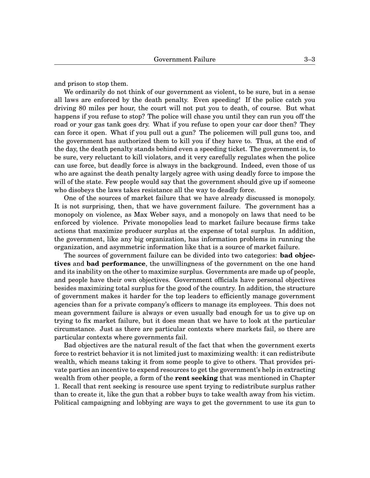and prison to stop them.

We ordinarily do not think of our government as violent, to be sure, but in a sense all laws are enforced by the death penalty. Even speeding! If the police catch you driving 80 miles per hour, the court will not put you to death, of course. But what happens if you refuse to stop? The police will chase you until they can run you off the road or your gas tank goes dry. What if you refuse to open your car door then? They can force it open. What if you pull out a gun? The policemen will pull guns too, and the government has authorized them to kill you if they have to. Thus, at the end of the day, the death penalty stands behind even a speeding ticket. The government is, to be sure, very reluctant to kill violators, and it very carefully regulates when the police can use force, but deadly force is always in the background. Indeed, even those of us who are against the death penalty largely agree with using deadly force to impose the will of the state. Few people would say that the government should give up if someone who disobeys the laws takes resistance all the way to deadly force.

One of the sources of market failure that we have already discussed is monopoly. It is not surprising, then, that we have government failure. The government has a monopoly on violence, as Max Weber says, and a monopoly on laws that need to be enforced by violence. Private monopolies lead to market failure because firms take actions that maximize producer surplus at the expense of total surplus. In addition, the government, like any big organization, has information problems in running the organization, and asymmetric information like that is a source of market failure.

The sources of government failure can be divided into two categories: **bad objectives** and **bad performance**, the unwillingness of the government on the one hand and its inability on the other to maximize surplus. Governments are made up of people, and people have their own objectives. Government officials have personal objectives besides maximizing total surplus for the good of the country. In addition, the structure of government makes it harder for the top leaders to efficiently manage government agencies than for a private company's officers to manage its employees. This does not mean government failure is always or even usually bad enough for us to give up on trying to fix market failure, but it does mean that we have to look at the particular circumstance. Just as there are particular contexts where markets fail, so there are particular contexts where governments fail.

Bad objectives are the natural result of the fact that when the government exerts force to restrict behavior it is not limited just to maximizing wealth: it can redistribute wealth, which means taking it from some people to give to others. That provides private parties an incentive to expend resources to get the government's help in extracting wealth from other people, a form of the **rent seeking** that was mentioned in Chapter 1. Recall that rent seeking is resource use spent trying to redistribute surplus rather than to create it, like the gun that a robber buys to take wealth away from his victim. Political campaigning and lobbying are ways to get the government to use its gun to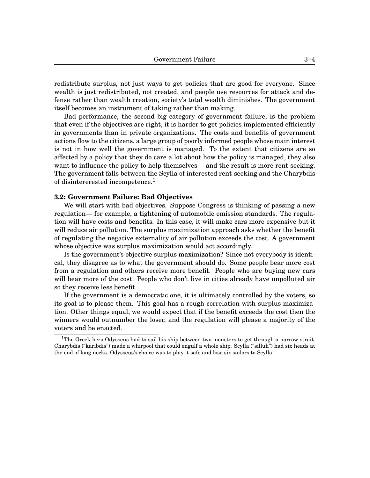redistribute surplus, not just ways to get policies that are good for everyone. Since wealth is just redistributed, not created, and people use resources for attack and defense rather than wealth creation, society's total wealth diminishes. The government itself becomes an instrument of taking rather than making.

Bad performance, the second big category of government failure, is the problem that even if the objectives are right, it is harder to get policies implemented efficiently in governments than in private organizations. The costs and benefits of government actions flow to the citizens, a large group of poorly informed people whose main interest is not in how well the government is managed. To the extent that citizens are so affected by a policy that they do care a lot about how the policy is managed, they also want to influence the policy to help themselves— and the result is more rent-seeking. The government falls between the Scylla of interested rent-seeking and the Charybdis of disintererested incompetence.<sup>[1](#page-0-1)</sup>

## **3.2: Government Failure: Bad Objectives**

We will start with bad objectives. Suppose Congress is thinking of passing a new regulation— for example, a tightening of automobile emission standards. The regulation will have costs and benefits. In this case, it will make cars more expensive but it will reduce air pollution. The surplus maximization approach asks whether the benefit of regulating the negative externality of air pollution exceeds the cost. A government whose objective was surplus maximization would act accordingly.

Is the government's objective surplus maximization? Since not everybody is identical, they disagree as to what the government should do. Some people bear more cost from a regulation and others receive more benefit. People who are buying new cars will bear more of the cost. People who don't live in cities already have unpolluted air so they receive less benefit.

If the government is a democratic one, it is ultimately controlled by the voters, so its goal is to please them. This goal has a rough correlation with surplus maximization. Other things equal, we would expect that if the benefit exceeds the cost then the winners would outnumber the loser, and the regulation will please a majority of the voters and be enacted.

<sup>&</sup>lt;sup>1</sup>The Greek hero Odysseus had to sail his ship between two monsters to get through a narrow strait. Charybdis ("karibdis") made a whirpool that could engulf a whole ship. Scylla ("silluh") had six heads at the end of long necks. Odysseus's choice was to play it safe and lose six sailors to Scylla.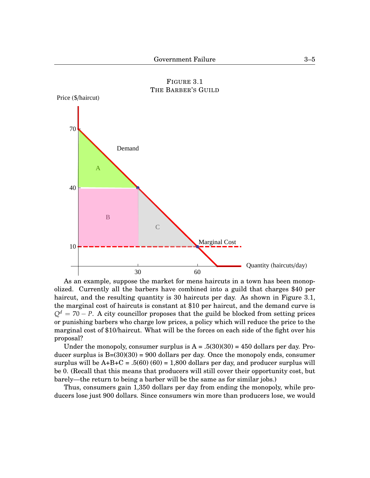<span id="page-4-0"></span>

FIGURE [3](#page-0-0)[.1](#page-4-0) THE BARBER'S GUILD

As an example, suppose the market for mens haircuts in a town has been monopolized. Currently all the barbers have combined into a guild that charges \$40 per haircut, and the resulting quantity is 30 haircuts per day. As shown in Figure 3[.1,](#page-4-0) the marginal cost of haircuts is constant at \$10 per haircut, and the demand curve is  $Q<sup>d</sup> = 70 - P$ . A city councillor proposes that the guild be blocked from setting prices or punishing barbers who charge low prices, a policy which will reduce the price to the marginal cost of \$10/haircut. What will be the forces on each side of the fight over his proposal?

Under the monopoly, consumer surplus is  $A = .5(30)(30) = 450$  dollars per day. Producer surplus is  $B=(30)(30) = 900$  dollars per day. Once the monopoly ends, consumer surplus will be  $A+B+C = .5(60) (60) = 1,800$  dollars per day, and producer surplus will be 0. (Recall that this means that producers will still cover their opportunity cost, but barely—the return to being a barber will be the same as for similar jobs.)

Thus, consumers gain 1,350 dollars per day from ending the monopoly, while producers lose just 900 dollars. Since consumers win more than producers lose, we would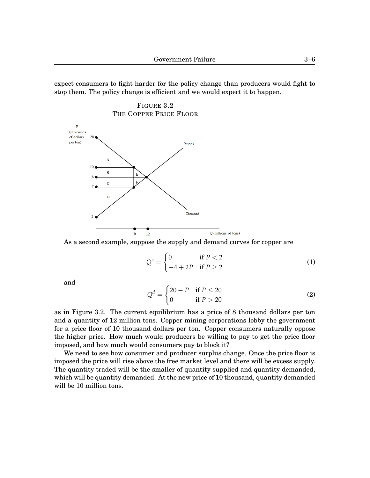expect consumers to fight harder for the policy change than producers would fight to stop them. The policy change is efficient and we would expect it to happen.

<span id="page-5-0"></span>



As a second example, suppose the supply and demand curves for copper are

$$
Qs = \begin{cases} 0 & \text{if } P < 2 \\ -4 + 2P & \text{if } P \ge 2 \end{cases}
$$
 (1)

and

$$
Qd = \begin{cases} 20 - P & \text{if } P \le 20 \\ 0 & \text{if } P > 20 \end{cases}
$$
 (2)

as in Figure [3.](#page-0-0)[2.](#page-5-0) The current equilibrium has a price of 8 thousand dollars per ton and a quantity of 12 million tons. Copper mining corporations lobby the government for a price floor of 10 thousand dollars per ton. Copper consumers naturally oppose the higher price. How much would producers be willing to pay to get the price floor imposed, and how much would consumers pay to block it?

We need to see how consumer and producer surplus change. Once the price floor is imposed the price will rise above the free market level and there will be excess supply. The quantity traded will be the smaller of quantity supplied and quantity demanded, which will be quantity demanded. At the new price of 10 thousand, quantity demanded will be 10 million tons.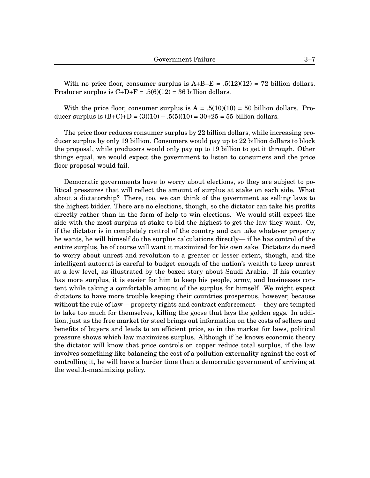With no price floor, consumer surplus is  $A+B+E = .5(12)(12) = 72$  billion dollars. Producer surplus is  $C+D+F = .5(6)(12) = 36$  billion dollars.

With the price floor, consumer surplus is  $A = .5(10)(10) = 50$  billion dollars. Producer surplus is  $(B+C)+D = (3)(10) + .5(5)(10) = 30+25 = 55$  billion dollars.

The price floor reduces consumer surplus by 22 billion dollars, while increasing producer surplus by only 19 billion. Consumers would pay up to 22 billion dollars to block the proposal, while producers would only pay up to 19 billion to get it through. Other things equal, we would expect the government to listen to consumers and the price floor proposal would fail.

Democratic governments have to worry about elections, so they are subject to political pressures that will reflect the amount of surplus at stake on each side. What about a dictatorship? There, too, we can think of the government as selling laws to the highest bidder. There are no elections, though, so the dictator can take his profits directly rather than in the form of help to win elections. We would still expect the side with the most surplus at stake to bid the highest to get the law they want. Or, if the dictator is in completely control of the country and can take whatever property he wants, he will himself do the surplus calculations directly— if he has control of the entire surplus, he of course will want it maximized for his own sake. Dictators do need to worry about unrest and revolution to a greater or lesser extent, though, and the intelligent autocrat is careful to budget enough of the nation's wealth to keep unrest at a low level, as illustrated by the boxed story about Saudi Arabia. If his country has more surplus, it is easier for him to keep his people, army, and businesses content while taking a comfortable amount of the surplus for himself. We might expect dictators to have more trouble keeping their countries prosperous, however, because without the rule of law— property rights and contract enforcement— they are tempted to take too much for themselves, killing the goose that lays the golden eggs. In addition, just as the free market for steel brings out information on the costs of sellers and benefits of buyers and leads to an efficient price, so in the market for laws, political pressure shows which law maximizes surplus. Although if he knows economic theory the dictator will know that price controls on copper reduce total surplus, if the law involves something like balancing the cost of a pollution externality against the cost of controlling it, he will have a harder time than a democratic government of arriving at the wealth-maximizing policy.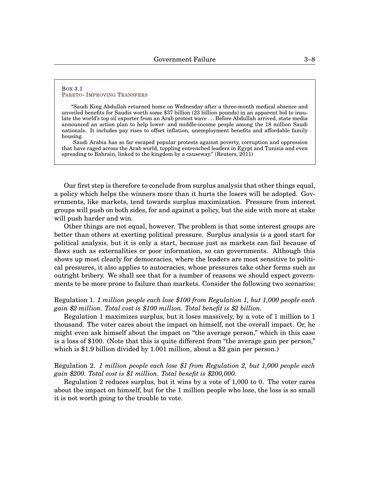#### <span id="page-7-0"></span>BOX [3.](#page-0-0)[1](#page-7-0) PARETO- I[MPROVING](http://www.reuters.com/article/2011/02/23/us-saudi-king-idUSTRE71M22V20110223) TRANSFERS

"Saudi King Abdullah returned home on Wednesday after a three-month medical absence and unveiled benefits for Saudis worth some \$37 billion (23 billion pounds) in an apparent bid to insulate the world's top oil exporter from an Arab protest wave . . . Before Abdullah arrived, state media announced an action plan to help lower- and middle-income people among the 18 million Saudi nationals. It includes pay rises to offset inflation, unemployment benefits and affordable family housing.

Saudi Arabia has so far escaped popular protests against poverty, corruption and oppression that have raged across the Arab world, toppling entrenched leaders in Egypt and Tunisia and even spreading to Bahrain, linked to the kingdom by a causeway." (Reuters, 2011)

Our first step is therefore to conclude from surplus analysis that other things equal, a policy which helps the winners more than it hurts the losers will be adopted. Governments, like markets, tend towards surplus maximization. Pressure from interest groups will push on both sides, for and against a policy, but the side with more at stake will push harder and win.

Other things are not equal, however. The problem is that some interest groups are better than others at exerting political pressure. Surplus analysis is a good start for political analysis, but it is only a start, because just as markets can fail because of flaws such as externalities or poor information, so can governments. Although this shows up most clearly for democracies, where the leaders are most sensitive to political pressures, it also applies to autocracies, whose pressures take other forms such as outright bribery. We shall see that for a number of reasons we should expect governments to be more prone to failure than markets. Consider the following two scenarios:

# Regulation 1. *1 million people each lose* \$*100 from Regulation 1, but 1,000 people each gain* \$*2 million. Total cost is* \$*100 million. Total benefit is* \$*2 billion.*

Regulation 1 maximizes surplus, but it loses massively, by a vote of 1 million to 1 thousand. The voter cares about the impact on himself, not the overall impact. Or, he might even ask himself about the impact on "the average person," which in this case is a loss of \$100. (Note that this is quite different from "the average gain per person," which is \$1.9 billion divided by 1.001 million, about a \$2 gain per person.)

Regulation 2. *1 million people each lose* \$*1 from Regulation 2, but 1,000 people each gain* \$*200. Total cost is* \$*1 million. Total benefit is* \$*200,000.*

Regulation 2 reduces surplus, but it wins by a vote of 1,000 to 0. The voter cares about the impact on himself, but for the 1 million people who lose, the loss is so small it is not worth going to the trouble to vote.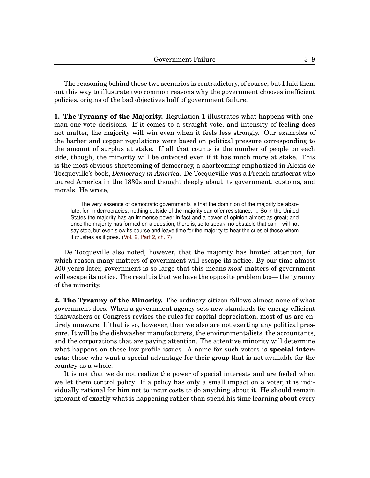The reasoning behind these two scenarios is contradictory, of course, but I laid them out this way to illustrate two common reasons why the government chooses inefficient policies, origins of the bad objectives half of government failure.

**1. The Tyranny of the Majority.** Regulation 1 illustrates what happens with oneman one-vote decisions. If it comes to a straight vote, and intensity of feeling does not matter, the majority will win even when it feels less strongly. Our examples of the barber and copper regulations were based on political pressure corresponding to the amount of surplus at stake. If all that counts is the number of people on each side, though, the minority will be outvoted even if it has much more at stake. This is the most obvious shortcoming of democracy, a shortcoming emphasized in Alexis de Tocqueville's book, *Democracy in America*. De Tocqueville was a French aristocrat who toured America in the 1830s and thought deeply about its government, customs, and morals. He wrote,

The very essence of democratic governments is that the dominion of the majority be absolute; for, in democracies, nothing outside of the majority can offer resistance. ... So in the United States the majority has an immense power in fact and a power of opinion almost as great; and once the majority has formed on a question, there is, so to speak, no obstacle that can, I will not say stop, but even slow its course and leave time for the majority to hear the cries of those whom it crushes as it goes. [\(Vol. 2, Part 2, ch. 7\)](http://oll.libertyfund.org/titles/tocqueville-democracy-in-america-historical-critical-edition-vol-2#lf1532-02_label_607)

De Tocqueville also noted, however, that the majority has limited attention, for which reason many matters of government will escape its notice. By our time almost 200 years later, government is so large that this means *most* matters of government will escape its notice. The result is that we have the opposite problem too— the tyranny of the minority.

**2. The Tyranny of the Minority.** The ordinary citizen follows almost none of what government does. When a government agency sets new standards for energy-efficient dishwashers or Congress revises the rules for capital depreciation, most of us are entirely unaware. If that is so, however, then we also are not exerting any political pressure. It will be the dishwasher manufacturers, the environmentalists, the accountants, and the corporations that are paying attention. The attentive minority will determine what happens on these low-profile issues. A name for such voters is **special interests**: those who want a special advantage for their group that is not available for the country as a whole.

It is not that we do not realize the power of special interests and are fooled when we let them control policy. If a policy has only a small impact on a voter, it is individually rational for him not to incur costs to do anything about it. He should remain ignorant of exactly what is happening rather than spend his time learning about every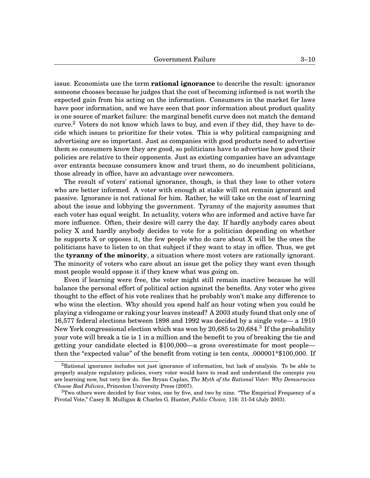issue. Economists use the term **rational ignorance** to describe the result: ignorance someone chooses because he judges that the cost of becoming informed is not worth the expected gain from his acting on the information. Consumers in the market for laws have poor information, and we have seen that poor information about product quality is one source of market failure: the marginal benefit curve does not match the demand curve.<sup>[2](#page-0-1)</sup> Voters do not know which laws to buy, and even if they did, they have to decide which issues to prioritize for their votes. This is why political campaigning and advertising are so important. Just as companies with good products need to advertise them so consumers know they are good, so politicians have to advertise how good their policies are relative to their opponents. Just as existing companies have an advantage over entrants because consumers know and trust them, so do incumbent politicians, those already in office, have an advantage over newcomers.

The result of voters' rational ignorance, though, is that they lose to other voters who are better informed. A voter with enough at stake will not remain ignorant and passive. Ignorance is not rational for him. Rather, he will take on the cost of learning about the issue and lobbying the government. Tyranny of the majority assumes that each voter has equal weight. In actuality, voters who are informed and active have far more influence. Often, their desire will carry the day. If hardly anybody cares about policy X and hardly anybody decides to vote for a politician depending on whether he supports X or opposes it, the few people who do care about X will be the ones the politicians have to listen to on that subject if they want to stay in office. Thus, we get the **tyranny of the minority**, a situation where most voters are rationally ignorant. The minority of voters who care about an issue get the policy they want even though most people would oppose it if they knew what was going on.

Even if learning were free, the voter might still remain inactive because he will balance the personal effort of political action against the benefits. Any voter who gives thought to the effect of his vote realizes that he probably won't make any difference to who wins the election. Why should you spend half an hour voting when you could be playing a videogame or raking your leaves instead? A 2003 study found that only one of 16,577 federal elections between 1898 and 1992 was decided by a single vote— a 1910 New York congressional election which was won by 20,685 to 20,684.<sup>[3](#page-0-1)</sup> If the probability your vote will break a tie is 1 in a million and the benefit to you of breaking the tie and getting your candidate elected is \$100,000—a gross overestimate for most people then the "expected value" of the benefit from voting is ten cents, .000001\*\$100,000. If

 ${}^{2}$ Rational ignorance includes not just ignorance of information, but lack of analysis. To be able to properly analyze regulatory policies, every voter would have to read and understand the concepts you are learning now, but very few do. See Bryan Caplan, *The Myth of the Rational Voter: Why Democracies Choose Bad Policies*, Princeton University Press (2007).

 $3$ Two others were decided by four votes, one by five, and two by nine. "The Empirical Frequency of a Pivotal Vote," Casey B. Mulligan & Charles G. Hunter, *Public Choice,* 116: 31-54 (July 2003).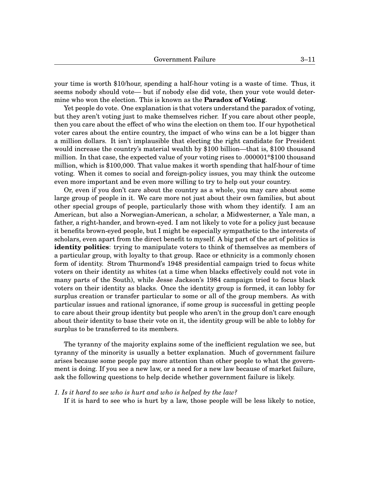your time is worth \$10/hour, spending a half-hour voting is a waste of time. Thus, it seems nobody should vote— but if nobody else did vote, then your vote would determine who won the election. This is known as the **Paradox of Voting**.

Yet people do vote. One explanation is that voters understand the paradox of voting, but they aren't voting just to make themselves richer. If you care about other people, then you care about the effect of who wins the election on them too. If our hypothetical voter cares about the entire country, the impact of who wins can be a lot bigger than a million dollars. It isn't implausible that electing the right candidate for President would increase the country's material wealth by \$100 billion—that is, \$100 thousand million. In that case, the expected value of your voting rises to .000001\*\$100 thousand million, which is \$100,000. That value makes it worth spending that half-hour of time voting. When it comes to social and foreign-policy issues, you may think the outcome even more important and be even more willing to try to help out your country.

Or, even if you don't care about the country as a whole, you may care about some large group of people in it. We care more not just about their own families, but about other special groups of people, particularly those with whom they identify. I am an American, but also a Norwegian-American, a scholar, a Midwesterner, a Yale man, a father, a right-hander, and brown-eyed. I am not likely to vote for a policy just because it benefits brown-eyed people, but I might be especially sympathetic to the interests of scholars, even apart from the direct benefit to myself. A big part of the art of politics is **identity politics**: trying to manipulate voters to think of themselves as members of a particular group, with loyalty to that group. Race or ethnicity is a commonly chosen form of identity. Strom Thurmond's 1948 presidential campaign tried to focus white voters on their identity as whites (at a time when blacks effectively could not vote in many parts of the South), while Jesse Jackson's 1984 campaign tried to focus black voters on their identity as blacks. Once the identity group is formed, it can lobby for surplus creation or transfer particular to some or all of the group members. As with particular issues and rational ignorance, if some group is successful in getting people to care about their group identity but people who aren't in the group don't care enough about their identity to base their vote on it, the identity group will be able to lobby for surplus to be transferred to its members.

The tyranny of the majority explains some of the inefficient regulation we see, but tyranny of the minority is usually a better explanation. Much of government failure arises because some people pay more attention than other people to what the government is doing. If you see a new law, or a need for a new law because of market failure, ask the following questions to help decide whether government failure is likely.

## *1. Is it hard to see who is hurt and who is helped by the law?*

If it is hard to see who is hurt by a law, those people will be less likely to notice,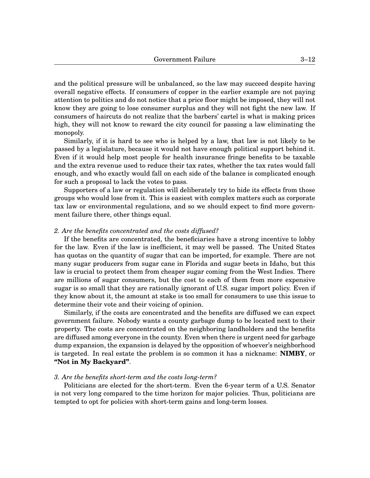and the political pressure will be unbalanced, so the law may succeed despite having overall negative effects. If consumers of copper in the earlier example are not paying attention to politics and do not notice that a price floor might be imposed, they will not know they are going to lose consumer surplus and they will not fight the new law. If consumers of haircuts do not realize that the barbers' cartel is what is making prices high, they will not know to reward the city council for passing a law eliminating the monopoly.

Similarly, if it is hard to see who is helped by a law, that law is not likely to be passed by a legislature, because it would not have enough political support behind it. Even if it would help most people for health insurance fringe benefits to be taxable and the extra revenue used to reduce their tax rates, whether the tax rates would fall enough, and who exactly would fall on each side of the balance is complicated enough for such a proposal to lack the votes to pass.

Supporters of a law or regulation will deliberately try to hide its effects from those groups who would lose from it. This is easiest with complex matters such as corporate tax law or environmental regulations, and so we should expect to find more government failure there, other things equal.

## *2. Are the benefits concentrated and the costs diffused?*

If the benefits are concentrated, the beneficiaries have a strong incentive to lobby for the law. Even if the law is inefficient, it may well be passed. The United States has quotas on the quantity of sugar that can be imported, for example. There are not many sugar producers from sugar cane in Florida and sugar beets in Idaho, but this law is crucial to protect them from cheaper sugar coming from the West Indies. There are millions of sugar consumers, but the cost to each of them from more expensive sugar is so small that they are rationally ignorant of U.S. sugar import policy. Even if they know about it, the amount at stake is too small for consumers to use this issue to determine their vote and their voicing of opinion.

Similarly, if the costs are concentrated and the benefits are diffused we can expect government failure. Nobody wants a county garbage dump to be located next to their property. The costs are concentrated on the neighboring landholders and the benefits are diffused among everyone in the county. Even when there is urgent need for garbage dump expansion, the expansion is delayed by the opposition of whoever's neighborhood is targeted. In real estate the problem is so common it has a nickname: **NIMBY**, or **"Not in My Backyard"**.

## *3. Are the benefits short-term and the costs long-term?*

Politicians are elected for the short-term. Even the 6-year term of a U.S. Senator is not very long compared to the time horizon for major policies. Thus, politicians are tempted to opt for policies with short-term gains and long-term losses.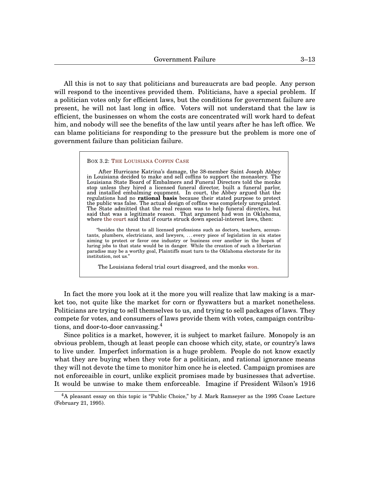All this is not to say that politicians and bureaucrats are bad people. Any person will respond to the incentives provided them. Politicians, have a special problem. If a politician votes only for efficient laws, but the conditions for government failure are present, he will not last long in office. Voters will not understand that the law is efficient, the businesses on whom the costs are concentrated will work hard to defeat him, and nobody will see the benefits of the law until years after he has left office. We can blame politicians for responding to the pressure but the problem is more one of government failure than politician failure.

#### <span id="page-12-0"></span>BOX [3](#page-0-0)[.2:](#page-12-0) THE L[OUISIANA](http://www.theatlantic.com/national/archive/2011/07/how-38-monks-took-on-the-funeral-cartel- and-won/242336/) COFFIN CASE

After Hurricane Katrina's damage, the 38-member Saint Joseph Abbey in Louisiana decided to make and sell coffins to support the monastery. The Louisiana State Board of Embalmers and Funeral Directors told the monks stop unless they hired a licensed funeral director, built a funeral parlor, and installed embalming equpment. In court, the Abbey argued that the regulations had no **rational basis** because their stated purpose to protect the public was false. The actual design of coffins was completely unregulated. The State admitted that the real reason was to help funeral directors, but said that was a legitimate reason. That argument had won in Oklahoma, where [the court](http://caselaw.lp.findlaw.com/scripts/getcase.pl?navby=search&case= /data2/circs/10th/036014.html) said that if courts struck down special-interest laws, then:

"besides the threat to all licensed professions such as doctors, teachers, accountants, plumbers, electricians, and lawyers, . . . every piece of legislation in six states aiming to protect or favor one industry or business over another in the hopes of luring jobs to that state would be in danger. While the creation of such a libertarian paradise may be a worthy goal, Plaintiffs must turn to the Oklahoma electorate for its institution, not us."

The Louisiana federal trial court disagreed, and the monks [won.](http://www.ij.org/images/pdf_folder/economic_liberty/la_caskets/casketsopinion.pdf)

In fact the more you look at it the more you will realize that law making is a market too, not quite like the market for corn or flyswatters but a market nonetheless. Politicians are trying to sell themselves to us, and trying to sell packages of laws. They compete for votes, and consumers of laws provide them with votes, campaign contributions, and door-to-door canvassing.[4](#page-0-1)

Since politics is a market, however, it is subject to market failure. Monopoly is an obvious problem, though at least people can choose which city, state, or country's laws to live under. Imperfect information is a huge problem. People do not know exactly what they are buying when they vote for a politician, and rational ignorance means they will not devote the time to monitor him once he is elected. Campaign promises are not enforceaible in court, unlike explicit promises made by businesses that advertise. It would be unwise to make them enforceable. Imagine if President Wilson's 1916

<sup>4</sup>A pleasant essay on this topic is "Public Choice," by J. Mark Ramseyer as the 1995 Coase Lecture (February 21, 1995).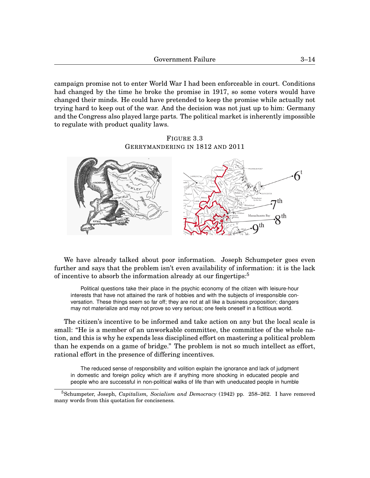campaign promise not to enter World War I had been enforceable in court. Conditions had changed by the time he broke the promise in 1917, so some voters would have changed their minds. He could have pretended to keep the promise while actually not trying hard to keep out of the war. And the decision was not just up to him: Germany and the Congress also played large parts. The political market is inherently impossible to regulate with product quality laws.

FIGURE [3](#page-0-0)[.3](#page-13-0) GERRYMANDERING IN 1812 AND 2011

<span id="page-13-0"></span>

We have already talked about poor information. Joseph Schumpeter goes even further and says that the problem isn't even availability of information: it is the lack of incentive to absorb the information already at our fingertips:[5](#page-0-1)

Political questions take their place in the psychic economy of the citizen with leisure-hour interests that have not attained the rank of hobbies and with the subjects of irresponsible conversation. These things seem so far off; they are not at all like a business proposition; dangers may not materialize and may not prove so very serious; one feels oneself in a fictitious world.

The citizen's incentive to be informed and take action on any but the local scale is small: "He is a member of an unworkable committee, the committee of the whole nation, and this is why he expends less disciplined effort on mastering a political problem than he expends on a game of bridge." The problem is not so much intellect as effort, rational effort in the presence of differing incentives.

The reduced sense of responsibility and volition explain the ignorance and lack of judgment in domestic and foreign policy which are if anything more shocking in educated people and people who are successful in non-political walks of life than with uneducated people in humble

<sup>5</sup>Schumpeter, Joseph, *Capitalism, Socialism and Democracy* (1942) pp. 258–262. I have removed many words from this quotation for conciseness.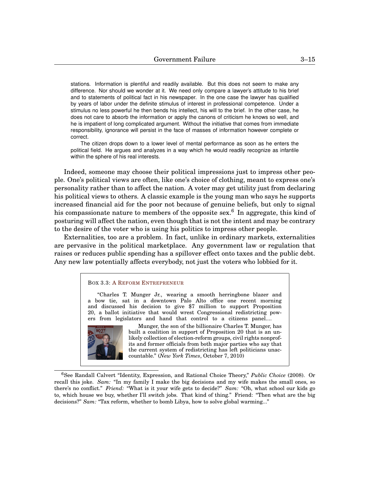stations. Information is plentiful and readily available. But this does not seem to make any difference. Nor should we wonder at it. We need only compare a lawyer's attitude to his brief and to statements of political fact in his newspaper. In the one case the lawyer has qualified by years of labor under the definite stimulus of interest in professional competence. Under a stimulus no less powerful he then bends his intellect, his will to the brief. In the other case, he does not care to absorb the information or apply the canons of criticism he knows so well, and he is impatient of long complicated argument. Without the initiative that comes from immediate responsibility, ignorance will persist in the face of masses of information however complete or correct.

The citizen drops down to a lower level of mental performance as soon as he enters the political field. He argues and analyzes in a way which he would readily recognize as infantile within the sphere of his real interests.

Indeed, someone may choose their political impressions just to impress other people. One's political views are often, like one's choice of clothing, meant to express one's personality rather than to affect the nation. A voter may get utility just from declaring his political views to others. A classic example is the young man who says he supports increased financial aid for the poor not because of genuine beliefs, but only to signal his compassionate nature to members of the opposite sex.<sup>[6](#page-0-1)</sup> In aggregate, this kind of posturing will affect the nation, even though that is not the intent and may be contrary to the desire of the voter who is using his politics to impress other people.

Externalities, too are a problem. In fact, unlike in ordinary markets, externalities are pervasive in the political marketplace. Any government law or regulation that raises or reduces public spending has a spillover effect onto taxes and the public debt. Any new law potentially affects everybody, not just the voters who lobbied for it.

## <span id="page-14-0"></span>BOX [3.](#page-0-0)[3:](#page-14-0) A REFORM E[NTREPRENEUR](http://www.baycitizen.org/proposition-20/story/tackling-redistricting-money-and-zeal)

"Charles T. Munger Jr., wearing a smooth herringbone blazer and a bow tie, sat in a downtown Palo Alto office one recent morning and discussed his decision to give \$7 million to support Proposition 20, a ballot initiative that would wrest Congressional redistricting powers from legislators and hand that control to a citizens panel....



Munger, the son of the billionaire Charles T. Munger, has built a coalition in support of Proposition 20 that is an unlikely collection of election-reform groups, civil rights nonprofits and former officials from both major parties who say that the current system of redistricting has left politicians unaccountable." (*New York Times*, October 7, 2010)

<sup>6</sup>See Randall Calvert "Identity, Expression, and Rational Choice Theory," *Public Choice* (2008). Or recall this joke. *Sam:* "In my family I make the big decisions and my wife makes the small ones, so there's no conflict." *Friend:* "What is it your wife gets to decide?" *Sam:* "Oh, what school our kids go to, which house we buy, whether I'll switch jobs. That kind of thing." Friend: "Then what are the big decisions?" *Sam:* "Tax reform, whether to bomb Libya, how to solve global warming..."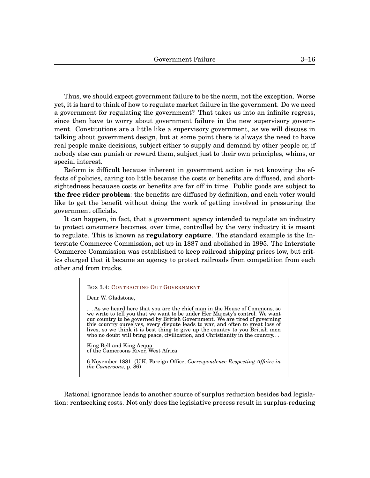Thus, we should expect government failure to be the norm, not the exception. Worse yet, it is hard to think of how to regulate market failure in the government. Do we need a government for regulating the government? That takes us into an infinite regress, since then have to worry about government failure in the new supervisory government. Constitutions are a little like a supervisory government, as we will discuss in talking about government design, but at some point there is always the need to have real people make decisions, subject either to supply and demand by other people or, if nobody else can punish or reward them, subject just to their own principles, whims, or special interest.

Reform is difficult because inherent in government action is not knowing the effects of policies, caring too little because the costs or benefits are diffused, and shortsightedness becauase costs or benefits are far off in time. Public goods are subject to **the free rider problem**: the benefits are diffused by definition, and each voter would like to get the benefit without doing the work of getting involved in pressuring the government officials.

It can happen, in fact, that a government agency intended to regulate an industry to protect consumers becomes, over time, controlled by the very industry it is meant to regulate. This is known as **regulatory capture**. The standard example is the Interstate Commerce Commission, set up in 1887 and abolished in 1995. The Interstate Commerce Commission was established to keep railroad shipping prices low, but critics charged that it became an agency to protect railroads from competition from each other and from trucks.

<span id="page-15-0"></span>

| <b>BOX 3.4: CONTRACTING OUT GOVERNMENT</b>                                                                                                                                                                                                                                                                                                                                                                                                                                                |
|-------------------------------------------------------------------------------------------------------------------------------------------------------------------------------------------------------------------------------------------------------------------------------------------------------------------------------------------------------------------------------------------------------------------------------------------------------------------------------------------|
| Dear W. Gladstone,                                                                                                                                                                                                                                                                                                                                                                                                                                                                        |
| As we heard here that you are the chief man in the House of Commons, so<br>we write to tell you that we want to be under Her Majesty's control. We want<br>our country to be governed by British Government. We are tired of governing<br>this country ourselves, every dispute leads to war, and often to great loss of<br>lives, so we think it is best thing to give up the country to you British men<br>who no doubt will bring peace, civilization, and Christianity in the country |
| King Bell and King Acqua<br>of the Cameroons River, West Africa                                                                                                                                                                                                                                                                                                                                                                                                                           |
| 6 November 1881 (U.K. Foreign Office, Correspondence Respecting Affairs in<br><i>the Cameroons</i> , p. 86)                                                                                                                                                                                                                                                                                                                                                                               |

Rational ignorance leads to another source of surplus reduction besides bad legislation: rentseeking costs. Not only does the legislative process result in surplus-reducing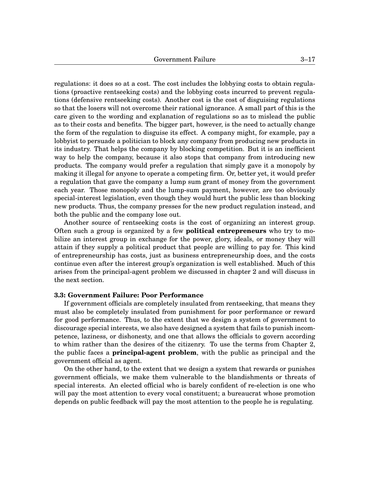regulations: it does so at a cost. The cost includes the lobbying costs to obtain regulations (proactive rentseeking costs) and the lobbying costs incurred to prevent regulations (defensive rentseeking costs). Another cost is the cost of disguising regulations so that the losers will not overcome their rational ignorance. A small part of this is the care given to the wording and explanation of regulations so as to mislead the public as to their costs and benefits. The bigger part, however, is the need to actually change the form of the regulation to disguise its effect. A company might, for example, pay a lobbyist to persuade a politician to block any company from producing new products in its industry. That helps the company by blocking competition. But it is an inefficient way to help the company, because it also stops that company from introducing new products. The company would prefer a regulation that simply gave it a monopoly by making it illegal for anyone to operate a competing firm. Or, better yet, it would prefer a regulation that gave the company a lump sum grant of money from the government each year. Those monopoly and the lump-sum payment, however, are too obviously special-interest legislation, even though they would hurt the public less than blocking new products. Thus, the company presses for the new product regulation instead, and both the public and the company lose out.

Another source of rentseeking costs is the cost of organizing an interest group. Often such a group is organized by a few **political entrepreneurs** who try to mobilize an interest group in exchange for the power, glory, ideals, or money they will attain if they supply a political product that people are willing to pay for. This kind of entrepreneurship has costs, just as business entrepreneurship does, and the costs continue even after the interest group's organization is well established. Much of this arises from the principal-agent problem we discussed in chapter 2 and will discuss in the next section.

# **3.3: Government Failure: Poor Performance**

If government officials are completely insulated from rentseeking, that means they must also be completely insulated from punishment for poor performance or reward for good performance. Thus, to the extent that we design a system of government to discourage special interests, we also have designed a system that fails to punish incompetence, laziness, or dishonesty, and one that allows the officials to govern according to whim rather than the desires of the citizenry. To use the terms from Chapter 2, the public faces a **principal-agent problem**, with the public as principal and the government official as agent.

On the other hand, to the extent that we design a system that rewards or punishes government officials, we make them vulnerable to the blandishments or threats of special interests. An elected official who is barely confident of re-election is one who will pay the most attention to every vocal constituent; a bureaucrat whose promotion depends on public feedback will pay the most attention to the people he is regulating.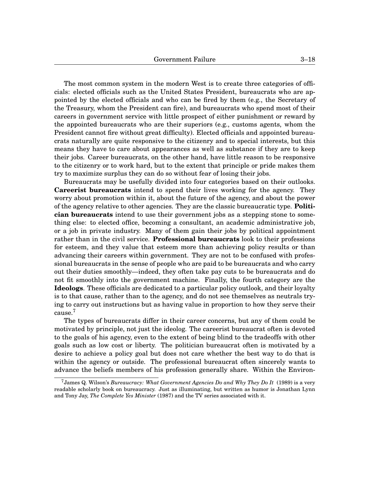The most common system in the modern West is to create three categories of officials: elected officials such as the United States President, bureaucrats who are appointed by the elected officials and who can be fired by them (e.g., the Secretary of the Treasury, whom the President can fire), and bureaucrats who spend most of their careers in government service with little prospect of either punishment or reward by the appointed bureaucrats who are their superiors (e.g., customs agents, whom the President cannot fire without great difficulty). Elected officials and appointed bureaucrats naturally are quite responsive to the citizenry and to special interests, but this means they have to care about appearances as well as substance if they are to keep their jobs. Career bureaucrats, on the other hand, have little reason to be responsive to the citizenry or to work hard, but to the extent that principle or pride makes them try to maximize surplus they can do so without fear of losing their jobs.

Bureaucrats may be usefully divided into four categories based on their outlooks. **Careerist bureaucrats** intend to spend their lives working for the agency. They worry about promotion within it, about the future of the agency, and about the power of the agency relative to other agencies. They are the classic bureaucratic type. **Politician bureaucrats** intend to use their government jobs as a stepping stone to something else: to elected office, becoming a consultant, an academic administrative job, or a job in private industry. Many of them gain their jobs by political appointment rather than in the civil service. **Professional bureaucrats** look to their professions for esteem, and they value that esteem more than achieving policy results or than advancing their careers within government. They are not to be confused with professional bureaucrats in the sense of people who are paid to be bureaucrats and who carry out their duties smoothly—indeed, they often take pay cuts to be bureaucrats and do not fit smoothly into the government machine. Finally, the fourth category are the **Ideologs**. These officials are dedicated to a particular policy outlook, and their loyalty is to that cause, rather than to the agency, and do not see themselves as neutrals trying to carry out instructions but as having value in proportion to how they serve their cause.[7](#page-0-1)

The types of bureaucrats differ in their career concerns, but any of them could be motivated by principle, not just the ideolog. The careerist bureaucrat often is devoted to the goals of his agency, even to the extent of being blind to the tradeoffs with other goals such as low cost or liberty. The politician bureaucrat often is motivated by a desire to achieve a policy goal but does not care whether the best way to do that is within the agency or outside. The professional bureaucrat often sincerely wants to advance the beliefs members of his profession generally share. Within the Environ-

<sup>7</sup>James Q. Wilson's *Bureaucracy: What Government Agencies Do and Why They Do It* (1989) is a very readable scholarly book on bureaucracy. Just as illuminating, but written as humor is Jonathan Lynn and Tony Jay, *The Complete Yes Minister* (1987) and the TV series associated with it.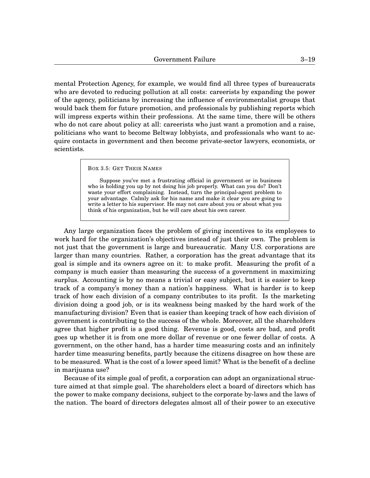mental Protection Agency, for example, we would find all three types of bureaucrats who are devoted to reducing pollution at all costs: careerists by expanding the power of the agency, politicians by increasing the influence of environmentalist groups that would back them for future promotion, and professionals by publishing reports which will impress experts within their professions. At the same time, there will be others who do not care about policy at all: careerists who just want a promotion and a raise, politicians who want to become Beltway lobbyists, and professionals who want to acquire contacts in government and then become private-sector lawyers, economists, or scientists.

<span id="page-18-0"></span>BOX [3.](#page-0-0)[5:](#page-18-0) GET THEIR NAMES

Suppose you've met a frustrating official in government or in business who is holding you up by not doing his job properly. What can you do? Don't waste your effort complaining. Instead, turn the principal-agent problem to your advantage. Calmly ask for his name and make it clear you are going to write a letter to his supervisor. He may not care about you or about what you think of his organization, but he will care about his own career.

Any large organization faces the problem of giving incentives to its employees to work hard for the organization's objectives instead of just their own. The problem is not just that the government is large and bureaucratic. Many U.S. corporations are larger than many countries. Rather, a corporation has the great advantage that its goal is simple and its owners agree on it: to make profit. Measuring the profit of a company is much easier than measuring the success of a government in maximizing surplus. Accounting is by no means a trivial or easy subject, but it is easier to keep track of a company's money than a nation's happiness. What is harder is to keep track of how each division of a company contributes to its profit. Is the marketing division doing a good job, or is its weakness being masked by the hard work of the manufacturing division? Even that is easier than keeping track of how each division of government is contributing to the success of the whole. Moreover, all the shareholders agree that higher profit is a good thing. Revenue is good, costs are bad, and profit goes up whether it is from one more dollar of revenue or one fewer dollar of costs. A government, on the other hand, has a harder time measuring costs and an infinitely harder time measuring benefits, partly because the citizens disagree on how these are to be measured. What is the cost of a lower speed limit? What is the benefit of a decline in marijuana use?

Because of its simple goal of profit, a corporation can adopt an organizational structure aimed at that simple goal. The shareholders elect a board of directors which has the power to make company decisions, subject to the corporate by-laws and the laws of the nation. The board of directors delegates almost all of their power to an executive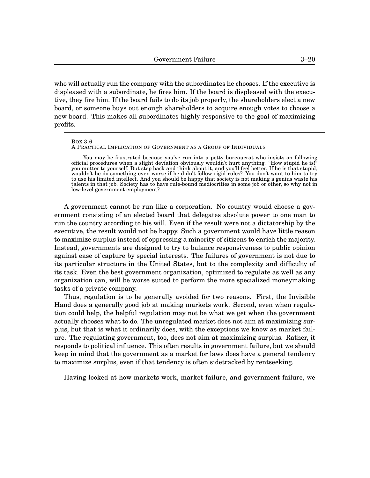who will actually run the company with the subordinates he chooses. If the executive is displeased with a subordinate, he fires him. If the board is displeased with the executive, they fire him. If the board fails to do its job properly, the shareholders elect a new board, or someone buys out enough shareholders to acquire enough votes to choose a new board. This makes all subordinates highly responsive to the goal of maximizing profits.

#### <span id="page-19-0"></span>BOX [3](#page-0-0)[.6](#page-19-0)

## A PRACTICAL IMPLICATION OF GOVERNMENT AS A GROUP OF INDIVIDUALS

You may be frustrated because you've run into a petty bureaucrat who insists on following official procedures when a slight deviation obviously wouldn't hurt anything. "How stupid he is!" you mutter to yourself. But step back and think about it, and you'll feel better. If he is that stupid, wouldn't he do something even worse if he didn't follow rigid rules? You don't want to him to try to use his limited intellect. And you should be happy that society is not making a genius waste his talents in that job. Society has to have rule-bound mediocrities in some job or other, so why not in low-level government employment?

A government cannot be run like a corporation. No country would choose a government consisting of an elected board that delegates absolute power to one man to run the country according to his will. Even if the result were not a dictatorship by the executive, the result would not be happy. Such a government would have little reason to maximize surplus instead of oppressing a minority of citizens to enrich the majority. Instead, governments are designed to try to balance responsiveness to public opinion against ease of capture by special interests. The failures of government is not due to its particular structure in the United States, but to the complexity and difficulty of its task. Even the best government organization, optimized to regulate as well as any organization can, will be worse suited to perform the more specialized moneymaking tasks of a private company.

Thus, regulation is to be generally avoided for two reasons. First, the Invisible Hand does a generally good job at making markets work. Second, even when regulation could help, the helpful regulation may not be what we get when the government actually chooses what to do. The unregulated market does not aim at maximizing surplus, but that is what it ordinarily does, with the exceptions we know as market failure. The regulating government, too, does not aim at maximizing surplus. Rather, it responds to political influence. This often results in government failure, but we should keep in mind that the government as a market for laws does have a general tendency to maximize surplus, even if that tendency is often sidetracked by rentseeking.

Having looked at how markets work, market failure, and government failure, we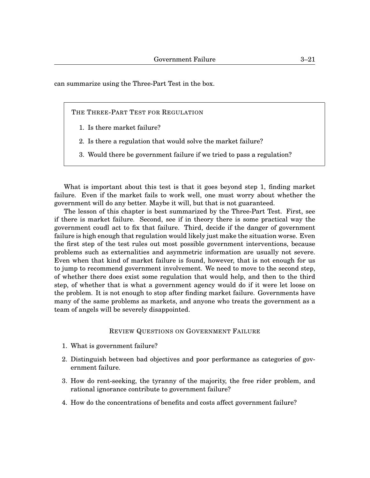can summarize using the Three-Part Test in the box.

THE THREE-PART TEST FOR REGULATION

- 1. Is there market failure?
- 2. Is there a regulation that would solve the market failure?
- 3. Would there be government failure if we tried to pass a regulation?

What is important about this test is that it goes beyond step 1, finding market failure. Even if the market fails to work well, one must worry about whether the government will do any better. Maybe it will, but that is not guaranteed.

The lesson of this chapter is best summarized by the Three-Part Test. First, see if there is market failure. Second, see if in theory there is some practical way the government coudl act to fix that failure. Third, decide if the danger of government failure is high enough that regulation would likely just make the situation worse. Even the first step of the test rules out most possible government interventions, because problems such as externalities and asymmetric information are usually not severe. Even when that kind of market failure is found, however, that is not enough for us to jump to recommend government involvement. We need to move to the second step, of whether there does exist some regulation that would help, and then to the third step, of whether that is what a government agency would do if it were let loose on the problem. It is not enough to stop after finding market failure. Governments have many of the same problems as markets, and anyone who treats the government as a team of angels will be severely disappointed.

## REVIEW QUESTIONS ON GOVERNMENT FAILURE

- 1. What is government failure?
- 2. Distinguish between bad objectives and poor performance as categories of government failure.
- 3. How do rent-seeking, the tyranny of the majority, the free rider problem, and rational ignorance contribute to government failure?
- 4. How do the concentrations of benefits and costs affect government failure?